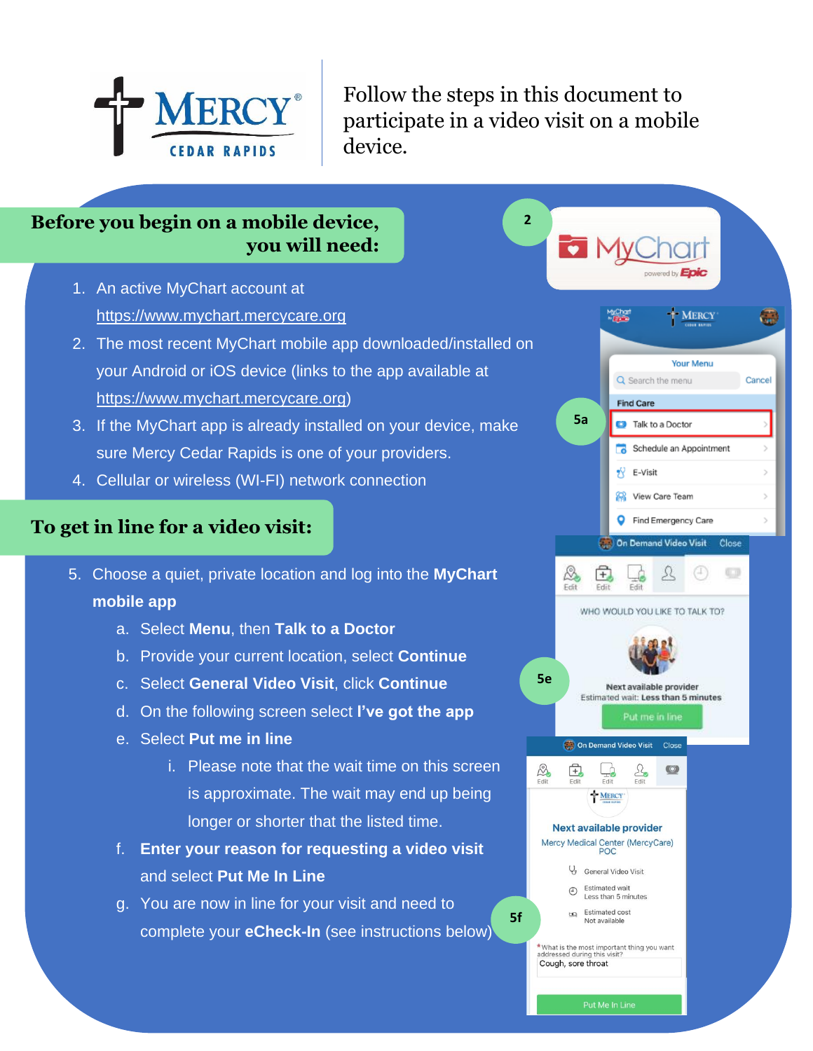

Follow the steps in this document to participate in a video visit on a mobile device.

**2**

## **Before you begin on a mobile device, you will need:**

- 1. An active MyChart account at https://www.mychart.mercycare.org
- 2. The most recent MyChart mobile app downloaded/installed on your Android or iOS device (links to the app available at https://www.mychart.mercycare.org)
- 3. If the MyChart app is already installed on your device, make sure Mercy Cedar Rapids is one of your providers.
- 4. Cellular or wireless (WI-FI) network connection

## **To get in line for a video visit:**

- 5. Choose a quiet, private location and log into the **MyChart mobile app**
	- a. Select **Menu**, then **Talk to a Doctor**
	- b. Provide your current location, select **Continue**
	- c. Select **General Video Visit**, click **Continue**
	- d. On the following screen select **I've got the app**
	- e. Select **Put me in line**
		- i. Please note that the wait time on this screen is approximate. The wait may end up being longer or shorter that the listed time.
	- f. **Enter your reason for requesting a video visit** and select **Put Me In Line**
	- g. You are now in line for your visit and need to complete your **eCheck-In** (see instructions below)

 $\overline{\bullet}$  i ed by **Epi MERCY** GJ **Vour Menu** Q Search the menu Cancel Find Care **5a C** Talk to a Doctor Schedule an Appointment  $\sqrt{Y}$  E-Visit Sa View Care Team **O** Find Emergency Care **State** On Demand Video Visit Close  $\mathfrak{L}$ A, 闰 Erid Edit Edit WHO WOULD YOU LIKE TO TALK TO? **5e** Next available provider Estimated wait: Less than 5 minutes On Demand Video Visit Close  $\sum_{\text{Edit}}$  $\frac{1}{\sum_{\text{Edit}}}$  $\circ$ 中 MERCY **Next available provider** Mercy Medical Center (MercyCare) POC General Video Visit **Estimated wait**  $\bigcirc$ Less than 5 minutes Estimated cost Not available **\*** What is the most important thing you want<br>addressed during this visit? Cough, sore throat

**5f**